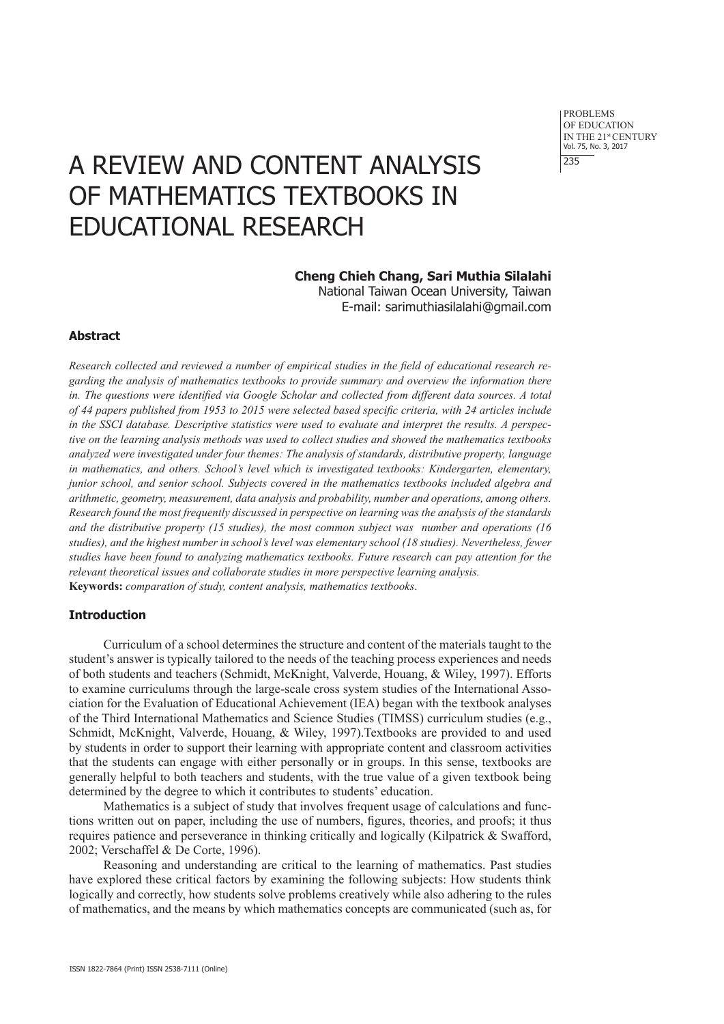PROBLEMS OF EDUCATION IN THE 21st CENTURY Vol. 75, No. 3, 2017 235

# A REVIEW AND CONTENT ANALYSIS OF MATHEMATICS TEXTBOOKS IN EDUCATIONAL RESEARCH

## **Cheng Chieh Chang, Sari Muthia Silalahi**

National Taiwan Ocean University, Taiwan E-mail: sarimuthiasilalahi@gmail.com

## **Abstract**

*Research collected and reviewed a number of empirical studies in the field of educational research regarding the analysis of mathematics textbooks to provide summary and overview the information there in. The questions were identified via Google Scholar and collected from different data sources. A total of 44 papers published from 1953 to 2015 were selected based specific criteria, with 24 articles include in the SSCI database. Descriptive statistics were used to evaluate and interpret the results. A perspective on the learning analysis methods was used to collect studies and showed the mathematics textbooks analyzed were investigated under four themes: The analysis of standards, distributive property, language in mathematics, and others. School's level which is investigated textbooks: Kindergarten, elementary, junior school, and senior school. Subjects covered in the mathematics textbooks included algebra and arithmetic, geometry, measurement, data analysis and probability, number and operations, among others. Research found the most frequently discussed in perspective on learning was the analysis of the standards and the distributive property (15 studies), the most common subject was number and operations (16 studies), and the highest number in school's level was elementary school (18 studies). Nevertheless, fewer studies have been found to analyzing mathematics textbooks. Future research can pay attention for the relevant theoretical issues and collaborate studies in more perspective learning analysis.*  **Keywords:** *comparation of study, content analysis, mathematics textbooks*.

#### **Introduction**

Curriculum of a school determines the structure and content of the materials taught to the student's answer is typically tailored to the needs of the teaching process experiences and needs of both students and teachers (Schmidt, McKnight, Valverde, Houang, & Wiley, 1997). Efforts to examine curriculums through the large-scale cross system studies of the International Association for the Evaluation of Educational Achievement (IEA) began with the textbook analyses of the Third International Mathematics and Science Studies (TIMSS) curriculum studies (e.g., Schmidt, McKnight, Valverde, Houang, & Wiley, 1997).Textbooks are provided to and used by students in order to support their learning with appropriate content and classroom activities that the students can engage with either personally or in groups. In this sense, textbooks are generally helpful to both teachers and students, with the true value of a given textbook being determined by the degree to which it contributes to students' education.

Mathematics is a subject of study that involves frequent usage of calculations and functions written out on paper, including the use of numbers, figures, theories, and proofs; it thus requires patience and perseverance in thinking critically and logically (Kilpatrick & Swafford, 2002; Verschaffel & De Corte, 1996).

Reasoning and understanding are critical to the learning of mathematics. Past studies have explored these critical factors by examining the following subjects: How students think logically and correctly, how students solve problems creatively while also adhering to the rules of mathematics, and the means by which mathematics concepts are communicated (such as, for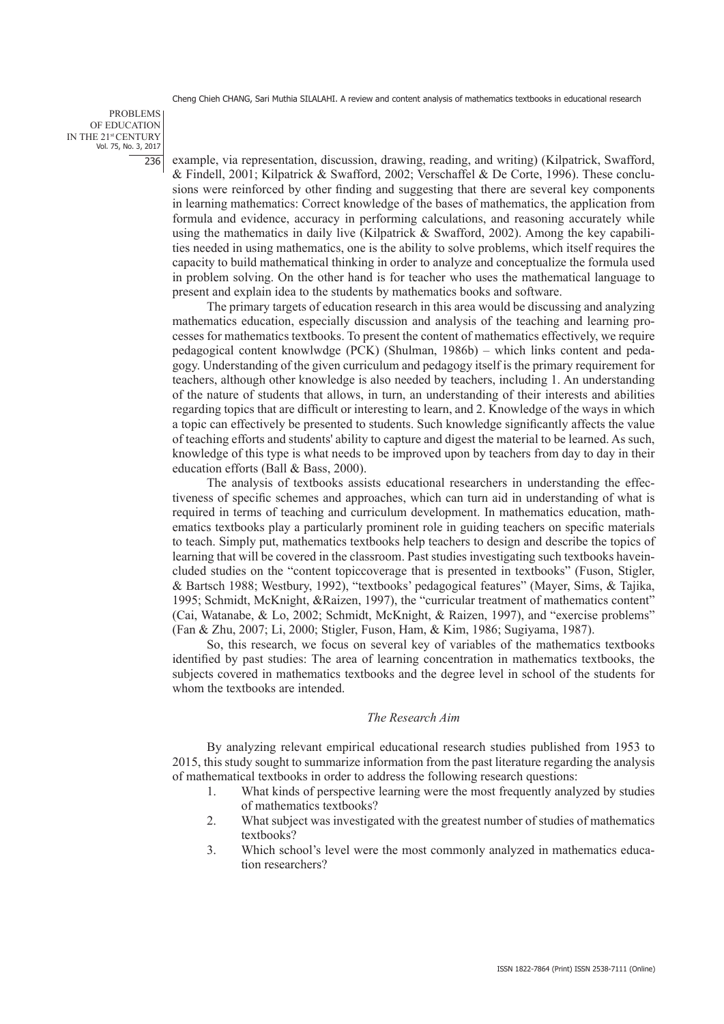PROBLEMS OF EDUCATION IN THE 21st CENTURY Vol. 75, No. 3, 2017 236

example, via representation, discussion, drawing, reading, and writing) (Kilpatrick, Swafford, & Findell, 2001; Kilpatrick & Swafford, 2002; Verschaffel & De Corte, 1996). These conclusions were reinforced by other finding and suggesting that there are several key components in learning mathematics: Correct knowledge of the bases of mathematics, the application from formula and evidence, accuracy in performing calculations, and reasoning accurately while using the mathematics in daily live (Kilpatrick & Swafford, 2002). Among the key capabilities needed in using mathematics, one is the ability to solve problems, which itself requires the capacity to build mathematical thinking in order to analyze and conceptualize the formula used in problem solving. On the other hand is for teacher who uses the mathematical language to present and explain idea to the students by mathematics books and software.

The primary targets of education research in this area would be discussing and analyzing mathematics education, especially discussion and analysis of the teaching and learning processes for mathematics textbooks. To present the content of mathematics effectively, we require pedagogical content knowlwdge (PCK) (Shulman, 1986b) – which links content and pedagogy. Understanding of the given curriculum and pedagogy itself is the primary requirement for teachers, although other knowledge is also needed by teachers, including 1. An understanding of the nature of students that allows, in turn, an understanding of their interests and abilities regarding topics that are difficult or interesting to learn, and 2. Knowledge of the ways in which a topic can effectively be presented to students. Such knowledge significantly affects the value of teaching efforts and students' ability to capture and digest the material to be learned. As such, knowledge of this type is what needs to be improved upon by teachers from day to day in their education efforts (Ball & Bass, 2000).

The analysis of textbooks assists educational researchers in understanding the effectiveness of specific schemes and approaches, which can turn aid in understanding of what is required in terms of teaching and curriculum development. In mathematics education, mathematics textbooks play a particularly prominent role in guiding teachers on specific materials to teach. Simply put, mathematics textbooks help teachers to design and describe the topics of learning that will be covered in the classroom. Past studies investigating such textbooks haveincluded studies on the "content topiccoverage that is presented in textbooks" (Fuson, Stigler, & Bartsch 1988; Westbury, 1992), "textbooks' pedagogical features" (Mayer, Sims, & Tajika, 1995; Schmidt, McKnight, &Raizen, 1997), the "curricular treatment of mathematics content" (Cai, Watanabe, & Lo, 2002; Schmidt, McKnight, & Raizen, 1997), and "exercise problems" (Fan & Zhu, 2007; Li, 2000; Stigler, Fuson, Ham, & Kim, 1986; Sugiyama, 1987).

So, this research, we focus on several key of variables of the mathematics textbooks identified by past studies: The area of learning concentration in mathematics textbooks, the subjects covered in mathematics textbooks and the degree level in school of the students for whom the textbooks are intended.

#### *The Research Aim*

By analyzing relevant empirical educational research studies published from 1953 to 2015, this study sought to summarize information from the past literature regarding the analysis of mathematical textbooks in order to address the following research questions:

- 1. What kinds of perspective learning were the most frequently analyzed by studies of mathematics textbooks?
- 2. What subject was investigated with the greatest number of studies of mathematics textbooks?
- 3. Which school's level were the most commonly analyzed in mathematics education researchers?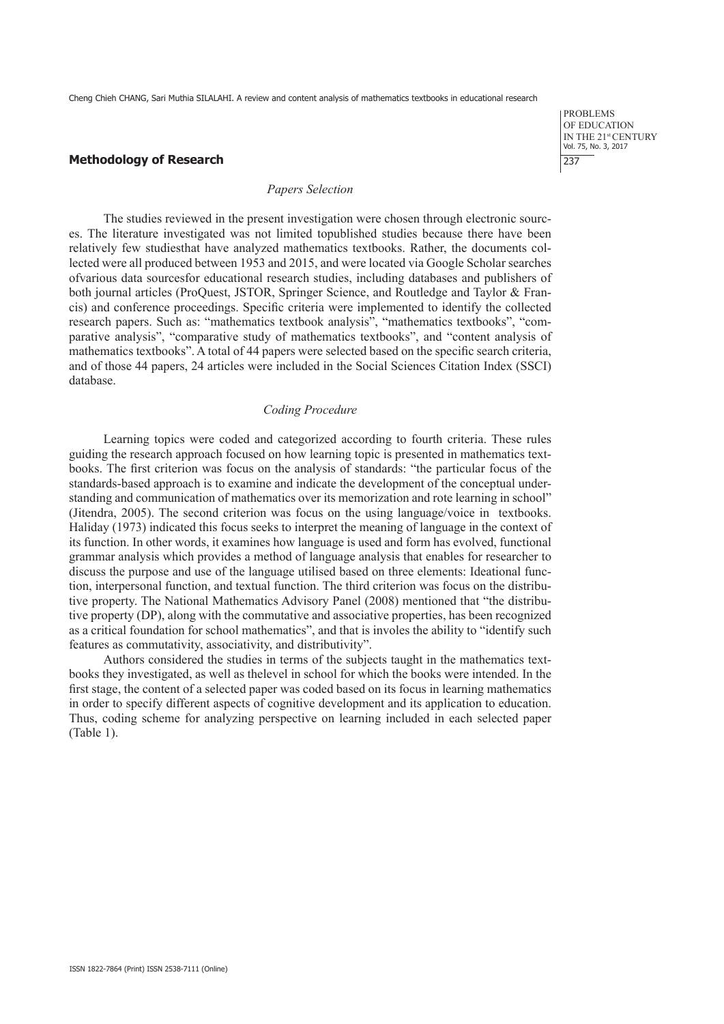#### **Methodology of Research**

#### *Papers Selection*

The studies reviewed in the present investigation were chosen through electronic sources. The literature investigated was not limited topublished studies because there have been relatively few studiesthat have analyzed mathematics textbooks. Rather, the documents collected were all produced between 1953 and 2015, and were located via Google Scholar searches ofvarious data sourcesfor educational research studies, including databases and publishers of both journal articles (ProQuest, JSTOR, Springer Science, and Routledge and Taylor & Francis) and conference proceedings. Specific criteria were implemented to identify the collected research papers. Such as: "mathematics textbook analysis", "mathematics textbooks", "comparative analysis", "comparative study of mathematics textbooks", and "content analysis of mathematics textbooks". A total of 44 papers were selected based on the specific search criteria, and of those 44 papers, 24 articles were included in the Social Sciences Citation Index (SSCI) database.

#### *Coding Procedure*

Learning topics were coded and categorized according to fourth criteria. These rules guiding the research approach focused on how learning topic is presented in mathematics textbooks. The first criterion was focus on the analysis of standards: "the particular focus of the standards-based approach is to examine and indicate the development of the conceptual understanding and communication of mathematics over its memorization and rote learning in school" (Jitendra, 2005). The second criterion was focus on the using language/voice in textbooks. Haliday (1973) indicated this focus seeks to interpret the meaning of language in the context of its function. In other words, it examines how language is used and form has evolved, functional grammar analysis which provides a method of language analysis that enables for researcher to discuss the purpose and use of the language utilised based on three elements: Ideational function, interpersonal function, and textual function. The third criterion was focus on the distributive property. The National Mathematics Advisory Panel (2008) mentioned that "the distributive property (DP), along with the commutative and associative properties, has been recognized as a critical foundation for school mathematics", and that is involes the ability to "identify such features as commutativity, associativity, and distributivity".

Authors considered the studies in terms of the subjects taught in the mathematics textbooks they investigated, as well as thelevel in school for which the books were intended. In the first stage, the content of a selected paper was coded based on its focus in learning mathematics in order to specify different aspects of cognitive development and its application to education. Thus, coding scheme for analyzing perspective on learning included in each selected paper (Table 1).

PROBLEMS OF EDUCATION IN THE 21st CENTURY Vol. 75, No. 3, 2017 237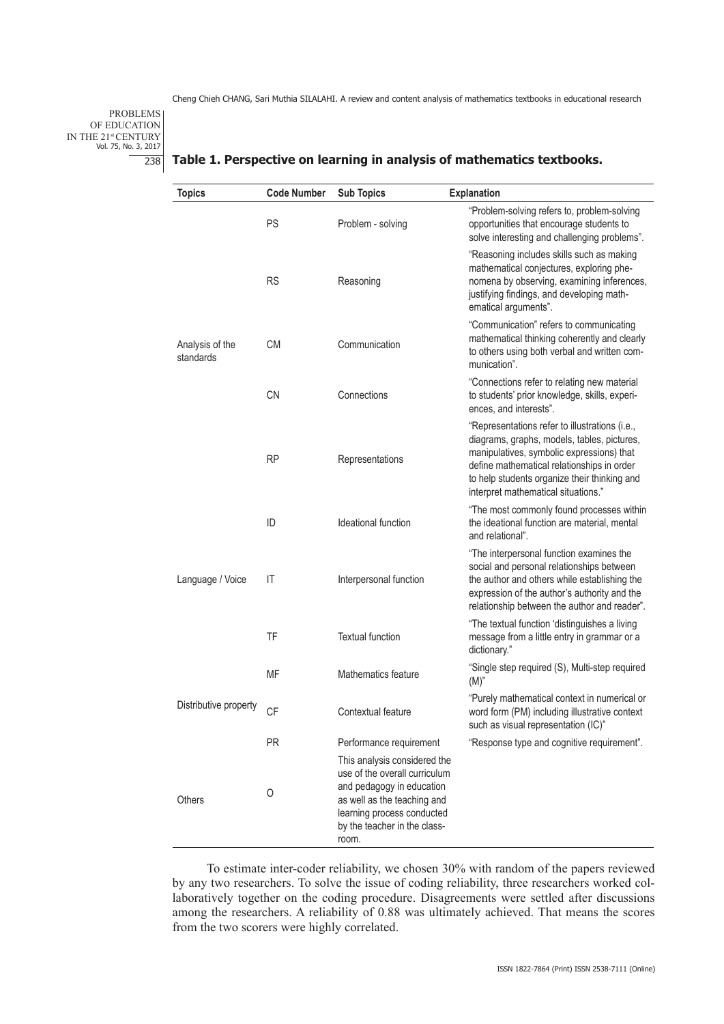PROBLEMS OF EDUCATION IN THE 21<sup>st</sup> CENTURY<br>Vol. 75, No. 3, 2017 238

| <b>Topics</b>                | <b>Code Number</b> | <b>Sub Topics</b>                                                                                                                                                                                | Explanation                                                                                                                                                                                                                                                                     |
|------------------------------|--------------------|--------------------------------------------------------------------------------------------------------------------------------------------------------------------------------------------------|---------------------------------------------------------------------------------------------------------------------------------------------------------------------------------------------------------------------------------------------------------------------------------|
|                              | PS                 | Problem - solving                                                                                                                                                                                | "Problem-solving refers to, problem-solving<br>opportunities that encourage students to<br>solve interesting and challenging problems".                                                                                                                                         |
| Analysis of the<br>standards | <b>RS</b>          | Reasoning                                                                                                                                                                                        | "Reasoning includes skills such as making<br>mathematical conjectures, exploring phe-<br>nomena by observing, examining inferences,<br>justifying findings, and developing math-<br>ematical arguments".                                                                        |
|                              | СM                 | Communication                                                                                                                                                                                    | "Communication" refers to communicating<br>mathematical thinking coherently and clearly<br>to others using both verbal and written com-<br>munication".                                                                                                                         |
|                              | <b>CN</b>          | Connections                                                                                                                                                                                      | "Connections refer to relating new material<br>to students' prior knowledge, skills, experi-<br>ences, and interests".                                                                                                                                                          |
|                              | <b>RP</b>          | Representations                                                                                                                                                                                  | "Representations refer to illustrations (i.e.,<br>diagrams, graphs, models, tables, pictures,<br>manipulatives, symbolic expressions) that<br>define mathematical relationships in order<br>to help students organize their thinking and<br>interpret mathematical situations." |
|                              | ID                 | Ideational function                                                                                                                                                                              | "The most commonly found processes within<br>the ideational function are material, mental<br>and relational".                                                                                                                                                                   |
| Language / Voice             | IT                 | Interpersonal function                                                                                                                                                                           | "The interpersonal function examines the<br>social and personal relationships between<br>the author and others while establishing the<br>expression of the author's authority and the<br>relationship between the author and reader".                                           |
|                              | TF                 | <b>Textual function</b>                                                                                                                                                                          | "The textual function 'distinguishes a living<br>message from a little entry in grammar or a<br>dictionary."                                                                                                                                                                    |
|                              | <b>MF</b>          | Mathematics feature                                                                                                                                                                              | "Single step required (S), Multi-step required<br>(M) <sup>n</sup>                                                                                                                                                                                                              |
| Distributive property        | <b>CF</b>          | Contextual feature                                                                                                                                                                               | "Purely mathematical context in numerical or<br>word form (PM) including illustrative context<br>such as visual representation (IC)"                                                                                                                                            |
|                              | <b>PR</b>          | Performance requirement                                                                                                                                                                          | "Response type and cognitive requirement".                                                                                                                                                                                                                                      |
| Others                       | O                  | This analysis considered the<br>use of the overall curriculum<br>and pedagogy in education<br>as well as the teaching and<br>learning process conducted<br>by the teacher in the class-<br>room. |                                                                                                                                                                                                                                                                                 |

#### **Table 1. Perspective on learning in analysis of mathematics textbooks.**

To estimate inter-coder reliability, we chosen 30% with random of the papers reviewed by any two researchers. To solve the issue of coding reliability, three researchers worked collaboratively together on the coding procedure. Disagreements were settled after discussions among the researchers. A reliability of 0.88 was ultimately achieved. That means the scores from the two scorers were highly correlated.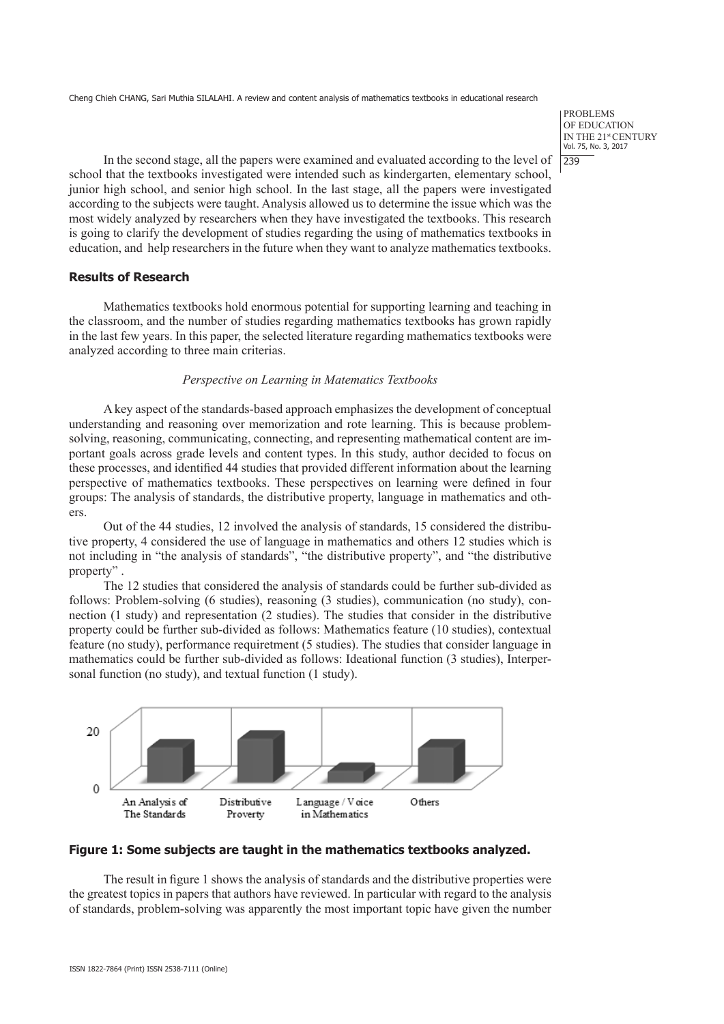PROBLEMS OF EDUCATION IN THE 21st CENTURY Vol. 75, No. 3, 2017 | 239

In the second stage, all the papers were examined and evaluated according to the level of school that the textbooks investigated were intended such as kindergarten, elementary school, junior high school, and senior high school. In the last stage, all the papers were investigated according to the subjects were taught. Analysis allowed us to determine the issue which was the most widely analyzed by researchers when they have investigated the textbooks. This research is going to clarify the development of studies regarding the using of mathematics textbooks in education, and help researchers in the future when they want to analyze mathematics textbooks.

## **Results of Research**

Mathematics textbooks hold enormous potential for supporting learning and teaching in the classroom, and the number of studies regarding mathematics textbooks has grown rapidly in the last few years. In this paper, the selected literature regarding mathematics textbooks were analyzed according to three main criterias.

## *Perspective on Learning in Matematics Textbooks*

A key aspect of the standards-based approach emphasizes the development of conceptual understanding and reasoning over memorization and rote learning. This is because problemsolving, reasoning, communicating, connecting, and representing mathematical content are important goals across grade levels and content types. In this study, author decided to focus on these processes, and identified 44 studies that provided different information about the learning perspective of mathematics textbooks. These perspectives on learning were defined in four groups: The analysis of standards, the distributive property, language in mathematics and others.

Out of the 44 studies, 12 involved the analysis of standards, 15 considered the distributive property, 4 considered the use of language in mathematics and others 12 studies which is not including in "the analysis of standards", "the distributive property", and "the distributive property" .

The 12 studies that considered the analysis of standards could be further sub-divided as follows: Problem-solving (6 studies), reasoning (3 studies), communication (no study), connection (1 study) and representation (2 studies). The studies that consider in the distributive property could be further sub-divided as follows: Mathematics feature (10 studies), contextual feature (no study), performance requiretment (5 studies). The studies that consider language in mathematics could be further sub-divided as follows: Ideational function (3 studies), Interpersonal function (no study), and textual function (1 study).



## **Figure 1: Some subjects are taught in the mathematics textbooks analyzed.**

The result in figure 1 shows the analysis of standards and the distributive properties were the greatest topics in papers that authors have reviewed. In particular with regard to the analysis of standards, problem-solving was apparently the most important topic have given the number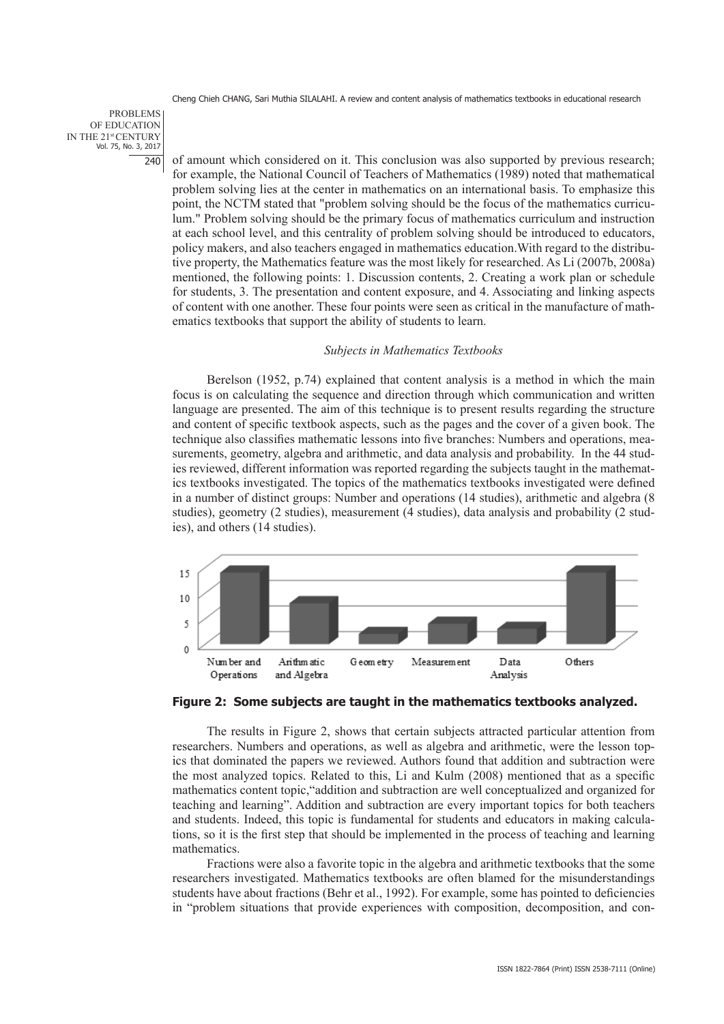PROBLEMS OF EDUCATION IN THE 21st CENTURY Vol. 75, No. 3, 2017 240

of amount which considered on it. This conclusion was also supported by previous research; for example, the National Council of Teachers of Mathematics (1989) noted that mathematical problem solving lies at the center in mathematics on an international basis. To emphasize this point, the NCTM stated that "problem solving should be the focus of the mathematics curriculum." Problem solving should be the primary focus of mathematics curriculum and instruction at each school level, and this centrality of problem solving should be introduced to educators, policy makers, and also teachers engaged in mathematics education.With regard to the distributive property, the Mathematics feature was the most likely for researched. As Li (2007b, 2008a) mentioned, the following points: 1. Discussion contents, 2. Creating a work plan or schedule for students, 3. The presentation and content exposure, and 4. Associating and linking aspects of content with one another. These four points were seen as critical in the manufacture of mathematics textbooks that support the ability of students to learn.

#### *Subjects in Mathematics Textbooks*

Berelson (1952, p.74) explained that content analysis is a method in which the main focus is on calculating the sequence and direction through which communication and written language are presented. The aim of this technique is to present results regarding the structure and content of specific textbook aspects, such as the pages and the cover of a given book. The technique also classifies mathematic lessons into five branches: Numbers and operations, measurements, geometry, algebra and arithmetic, and data analysis and probability. In the 44 studies reviewed, different information was reported regarding the subjects taught in the mathematics textbooks investigated. The topics of the mathematics textbooks investigated were defined in a number of distinct groups: Number and operations (14 studies), arithmetic and algebra (8 studies), geometry (2 studies), measurement (4 studies), data analysis and probability (2 studies), and others (14 studies).





The results in Figure 2, shows that certain subjects attracted particular attention from researchers. Numbers and operations, as well as algebra and arithmetic, were the lesson topics that dominated the papers we reviewed. Authors found that addition and subtraction were the most analyzed topics. Related to this, Li and Kulm (2008) mentioned that as a specific mathematics content topic,"addition and subtraction are well conceptualized and organized for teaching and learning". Addition and subtraction are every important topics for both teachers and students. Indeed, this topic is fundamental for students and educators in making calculations, so it is the first step that should be implemented in the process of teaching and learning mathematics.

Fractions were also a favorite topic in the algebra and arithmetic textbooks that the some researchers investigated. Mathematics textbooks are often blamed for the misunderstandings students have about fractions (Behr et al., 1992). For example, some has pointed to deficiencies in "problem situations that provide experiences with composition, decomposition, and con-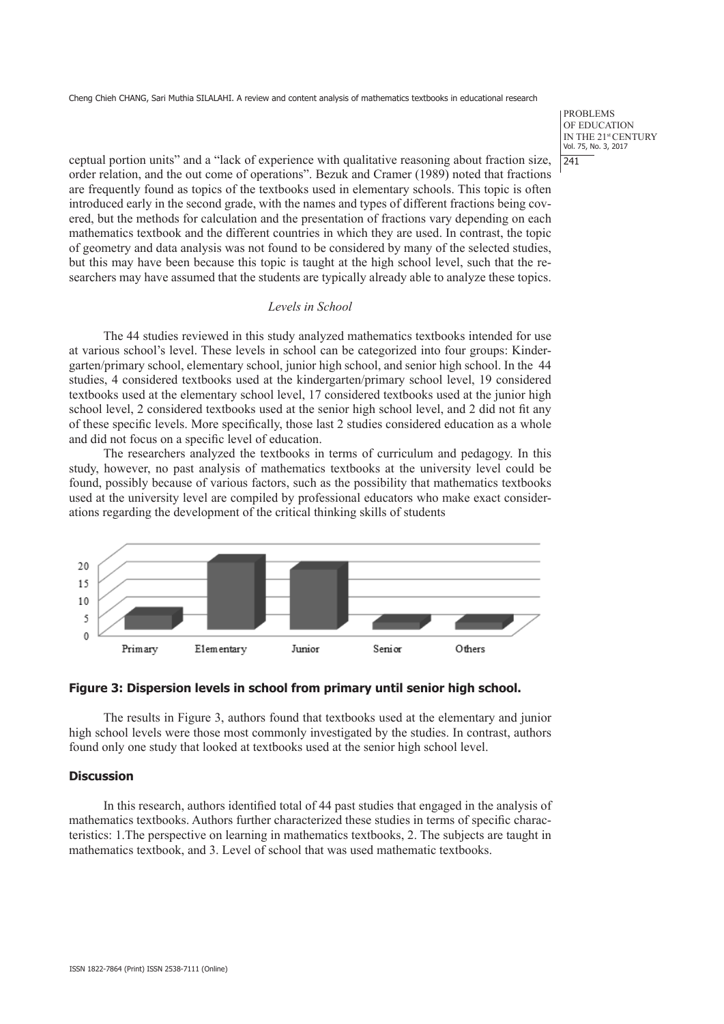PROBLEMS OF EDUCATION IN THE 21st CENTURY Vol. 75, No. 3, 2017  $|241$ 

ceptual portion units" and a "lack of experience with qualitative reasoning about fraction size, order relation, and the out come of operations". Bezuk and Cramer (1989) noted that fractions are frequently found as topics of the textbooks used in elementary schools. This topic is often introduced early in the second grade, with the names and types of different fractions being covered, but the methods for calculation and the presentation of fractions vary depending on each mathematics textbook and the different countries in which they are used. In contrast, the topic of geometry and data analysis was not found to be considered by many of the selected studies, but this may have been because this topic is taught at the high school level, such that the researchers may have assumed that the students are typically already able to analyze these topics.

#### *Levels in School*

The 44 studies reviewed in this study analyzed mathematics textbooks intended for use at various school's level. These levels in school can be categorized into four groups: Kindergarten/primary school, elementary school, junior high school, and senior high school. In the 44 studies, 4 considered textbooks used at the kindergarten/primary school level, 19 considered textbooks used at the elementary school level, 17 considered textbooks used at the junior high school level, 2 considered textbooks used at the senior high school level, and 2 did not fit any of these specific levels. More specifically, those last 2 studies considered education as a whole and did not focus on a specific level of education.

The researchers analyzed the textbooks in terms of curriculum and pedagogy. In this study, however, no past analysis of mathematics textbooks at the university level could be found, possibly because of various factors, such as the possibility that mathematics textbooks used at the university level are compiled by professional educators who make exact considerations regarding the development of the critical thinking skills of students



#### **Figure 3: Dispersion levels in school from primary until senior high school.**

The results in Figure 3, authors found that textbooks used at the elementary and junior high school levels were those most commonly investigated by the studies. In contrast, authors found only one study that looked at textbooks used at the senior high school level.

#### **Discussion**

In this research, authors identified total of 44 past studies that engaged in the analysis of mathematics textbooks. Authors further characterized these studies in terms of specific characteristics: 1.The perspective on learning in mathematics textbooks, 2. The subjects are taught in mathematics textbook, and 3. Level of school that was used mathematic textbooks.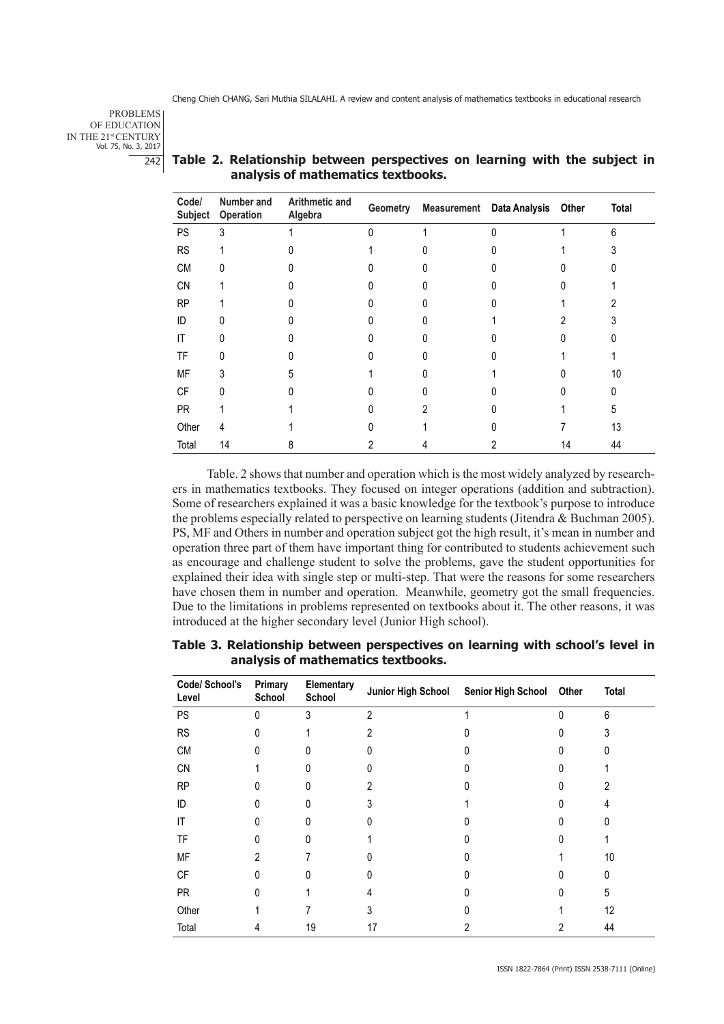PROBLEMS OF EDUCATION IN THE 21st CENTURY Vol. 75, No. 3, 2017 242

| Code/<br>Subject | Number and<br>Operation | Arithmetic and<br>Algebra | Geometry |   | <b>Measurement</b> Data Analysis | Other | <b>Total</b> |
|------------------|-------------------------|---------------------------|----------|---|----------------------------------|-------|--------------|
| PS               | 3                       |                           | U        |   |                                  |       | 6            |
| <b>RS</b>        |                         |                           |          |   |                                  |       |              |
| CM               |                         |                           |          |   |                                  |       |              |
| <b>CN</b>        |                         |                           |          |   |                                  |       |              |
| <b>RP</b>        |                         |                           |          |   |                                  |       |              |
| ID               |                         |                           |          |   |                                  |       |              |
| IT               |                         |                           |          |   |                                  |       |              |
| TF               |                         |                           |          |   |                                  |       |              |
| MF               |                         |                           |          |   |                                  |       | 10           |
| CF               |                         |                           |          |   |                                  |       |              |
| <b>PR</b>        |                         |                           |          | 2 |                                  |       | 5            |
| Other            | 4                       |                           |          |   |                                  |       | 13           |
| Total            | 14                      | ሸ                         |          |   |                                  | 14    | 44           |

## **Table 2. Relationship between perspectives on learning with the subject in analysis of mathematics textbooks.**

Table. 2 shows that number and operation which is the most widely analyzed by researchers in mathematics textbooks. They focused on integer operations (addition and subtraction). Some of researchers explained it was a basic knowledge for the textbook's purpose to introduce the problems especially related to perspective on learning students (Jitendra & Buchman 2005). PS, MF and Others in number and operation subject got the high result, it's mean in number and operation three part of them have important thing for contributed to students achievement such as encourage and challenge student to solve the problems, gave the student opportunities for explained their idea with single step or multi-step. That were the reasons for some researchers have chosen them in number and operation. Meanwhile, geometry got the small frequencies. Due to the limitations in problems represented on textbooks about it. The other reasons, it was introduced at the higher secondary level (Junior High school).

| Table 3. Relationship between perspectives on learning with school's level in |                                    |  |  |  |
|-------------------------------------------------------------------------------|------------------------------------|--|--|--|
|                                                                               | analysis of mathematics textbooks. |  |  |  |

| Code/ School's<br>Level | Primary<br>School | Elementary<br>School |                | Junior High School Senior High School Other |   | <b>Total</b> |
|-------------------------|-------------------|----------------------|----------------|---------------------------------------------|---|--------------|
| PS                      | 0                 | 3                    | $\mathfrak{p}$ |                                             | O | 6            |
| <b>RS</b>               |                   |                      |                |                                             |   |              |
| <b>CM</b>               | N                 | 0                    |                |                                             |   |              |
| <b>CN</b>               |                   |                      |                |                                             |   |              |
| <b>RP</b>               | N                 | U                    |                |                                             |   |              |
| ID                      |                   | U                    |                |                                             |   | 4            |
| IT                      | N                 | U                    |                |                                             |   | <sup>0</sup> |
| TF                      |                   | U                    |                |                                             |   |              |
| MF                      | $\overline{2}$    |                      |                |                                             |   | 10           |
| <b>CF</b>               |                   | n                    |                |                                             |   | U            |
| <b>PR</b>               | N                 |                      | 4              |                                             |   | 5            |
| Other                   |                   |                      |                |                                             |   | 12           |
| Total                   | 4                 | 19                   | 17             | 2                                           | 2 | 44           |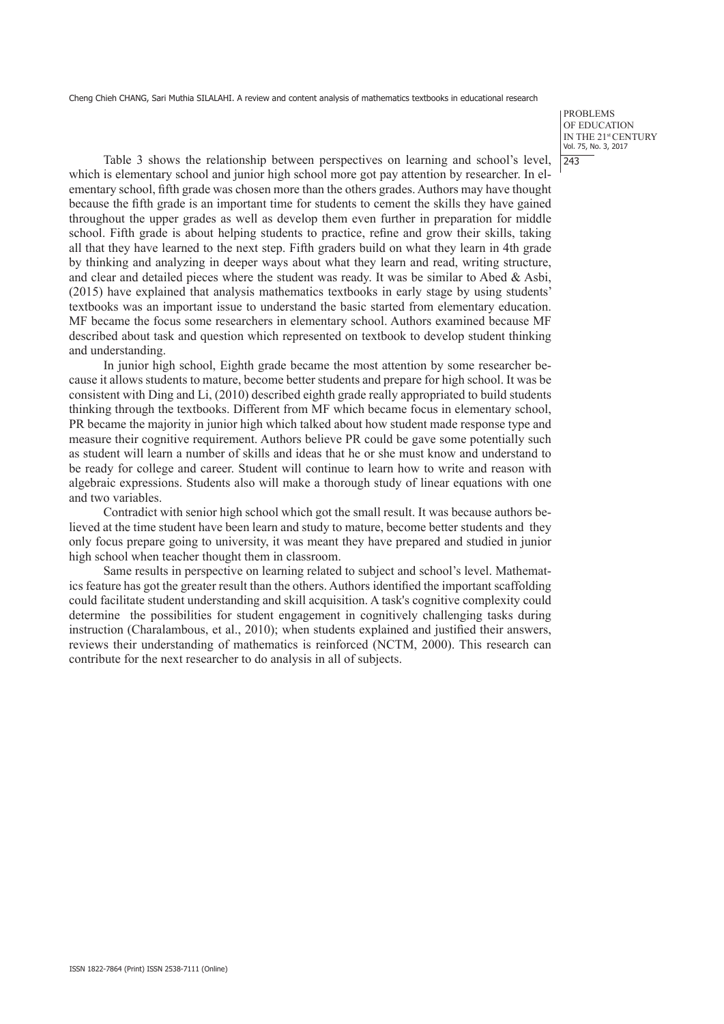PROBLEMS OF EDUCATION IN THE 21st CENTURY Vol. 75, No. 3, 2017  $|243$ 

Table 3 shows the relationship between perspectives on learning and school's level, which is elementary school and junior high school more got pay attention by researcher. In elementary school, fifth grade was chosen more than the others grades. Authors may have thought because the fifth grade is an important time for students to cement the skills they have gained throughout the upper grades as well as develop them even further in preparation for middle school. Fifth grade is about helping students to practice, refine and grow their skills, taking all that they have learned to the next step. Fifth graders build on what they learn in 4th grade by thinking and analyzing in deeper ways about what they learn and read, writing structure, and clear and detailed pieces where the student was ready. It was be similar to Abed & Asbi, (2015) have explained that analysis mathematics textbooks in early stage by using students' textbooks was an important issue to understand the basic started from elementary education. MF became the focus some researchers in elementary school. Authors examined because MF described about task and question which represented on textbook to develop student thinking and understanding.

In junior high school, Eighth grade became the most attention by some researcher because it allows students to mature, become better students and prepare for high school. It was be consistent with Ding and Li, (2010) described eighth grade really appropriated to build students thinking through the textbooks. Different from MF which became focus in elementary school, PR became the majority in junior high which talked about how student made response type and measure their cognitive requirement. Authors believe PR could be gave some potentially such as student will learn a number of skills and ideas that he or she must know and understand to be ready for college and career. Student will continue to learn how to write and reason with algebraic expressions. Students also will make a thorough study of linear equations with one and two variables.

Contradict with senior high school which got the small result. It was because authors believed at the time student have been learn and study to mature, become better students and they only focus prepare going to university, it was meant they have prepared and studied in junior high school when teacher thought them in classroom.

Same results in perspective on learning related to subject and school's level. Mathematics feature has got the greater result than the others. Authors identified the important scaffolding could facilitate student understanding and skill acquisition. A task's cognitive complexity could determine the possibilities for student engagement in cognitively challenging tasks during instruction (Charalambous, et al., 2010); when students explained and justified their answers, reviews their understanding of mathematics is reinforced (NCTM, 2000). This research can contribute for the next researcher to do analysis in all of subjects.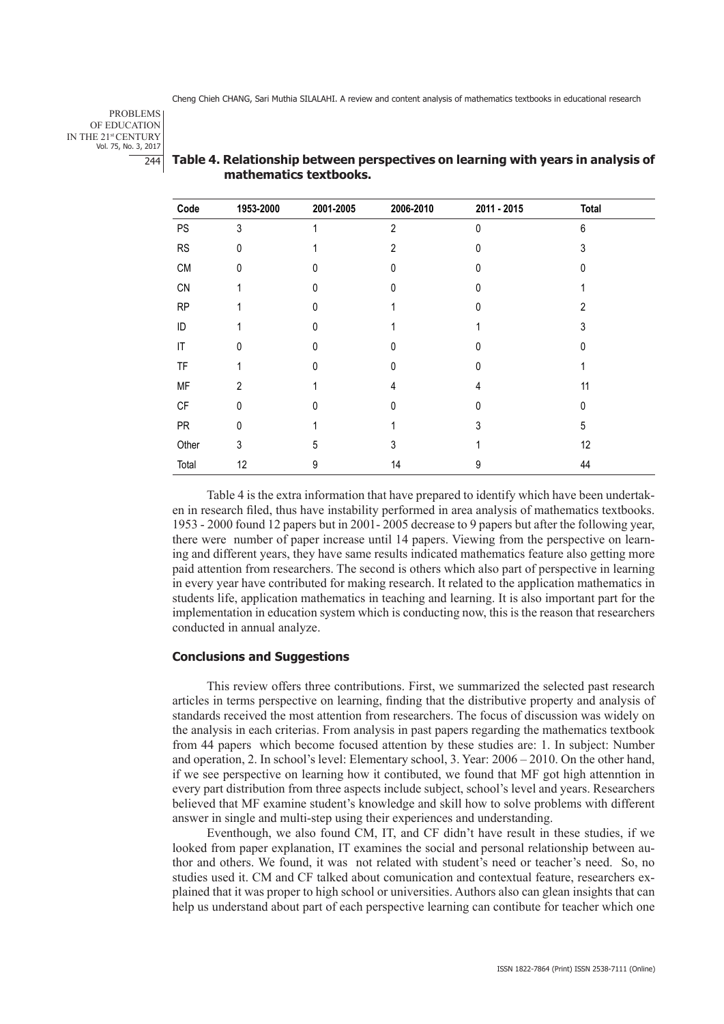PROBLEMS OF EDUCATION IN THE 21st CENTURY Vol. 75, No. 3, 2017 244

| Code                   | 1953-2000      | 2001-2005 | 2006-2010      | 2011 - 2015  | <b>Total</b> |  |
|------------------------|----------------|-----------|----------------|--------------|--------------|--|
| PS                     | 3              |           | $\overline{2}$ | $\mathbf{0}$ | 6            |  |
| ${\sf RS}$             | 0              |           | $\overline{2}$ | 0            | 3            |  |
| ${\sf CM}$             | 0              |           | N              | 0            |              |  |
| CN                     |                | N         |                | <sup>0</sup> |              |  |
| RP                     |                | 0         |                | $\Omega$     | 2            |  |
| ID                     |                | N         |                |              |              |  |
| $\mathsf{I}\mathsf{T}$ | 0              | N         |                | 0            |              |  |
| TF                     |                | N         | N              | 0            |              |  |
| MF                     | $\overline{2}$ |           | 4              | 4            | 11           |  |
| $\mathsf{C}\mathsf{F}$ | $\Omega$       |           | N              | $\Omega$     | 0            |  |
| <b>PR</b>              | 0              |           |                | 3            | 5            |  |
| Other                  | 3              | 5         | 3              |              | 12           |  |
| Total                  | 12             | 9         | 14             | 9            | 44           |  |

## **Table 4. Relationship between perspectives on learning with years in analysis of mathematics textbooks.**

Table 4 is the extra information that have prepared to identify which have been undertaken in research filed, thus have instability performed in area analysis of mathematics textbooks. 1953 - 2000 found 12 papers but in 2001- 2005 decrease to 9 papers but after the following year, there were number of paper increase until 14 papers. Viewing from the perspective on learning and different years, they have same results indicated mathematics feature also getting more paid attention from researchers. The second is others which also part of perspective in learning in every year have contributed for making research. It related to the application mathematics in students life, application mathematics in teaching and learning. It is also important part for the implementation in education system which is conducting now, this is the reason that researchers conducted in annual analyze.

#### **Conclusions and Suggestions**

This review offers three contributions. First, we summarized the selected past research articles in terms perspective on learning, finding that the distributive property and analysis of standards received the most attention from researchers. The focus of discussion was widely on the analysis in each criterias. From analysis in past papers regarding the mathematics textbook from 44 papers which become focused attention by these studies are: 1. In subject: Number and operation, 2. In school's level: Elementary school, 3. Year: 2006 – 2010. On the other hand, if we see perspective on learning how it contibuted, we found that MF got high attenntion in every part distribution from three aspects include subject, school's level and years. Researchers believed that MF examine student's knowledge and skill how to solve problems with different answer in single and multi-step using their experiences and understanding.

Eventhough, we also found CM, IT, and CF didn't have result in these studies, if we looked from paper explanation, IT examines the social and personal relationship between author and others. We found, it was not related with student's need or teacher's need. So, no studies used it. CM and CF talked about comunication and contextual feature, researchers explained that it was proper to high school or universities. Authors also can glean insights that can help us understand about part of each perspective learning can contibute for teacher which one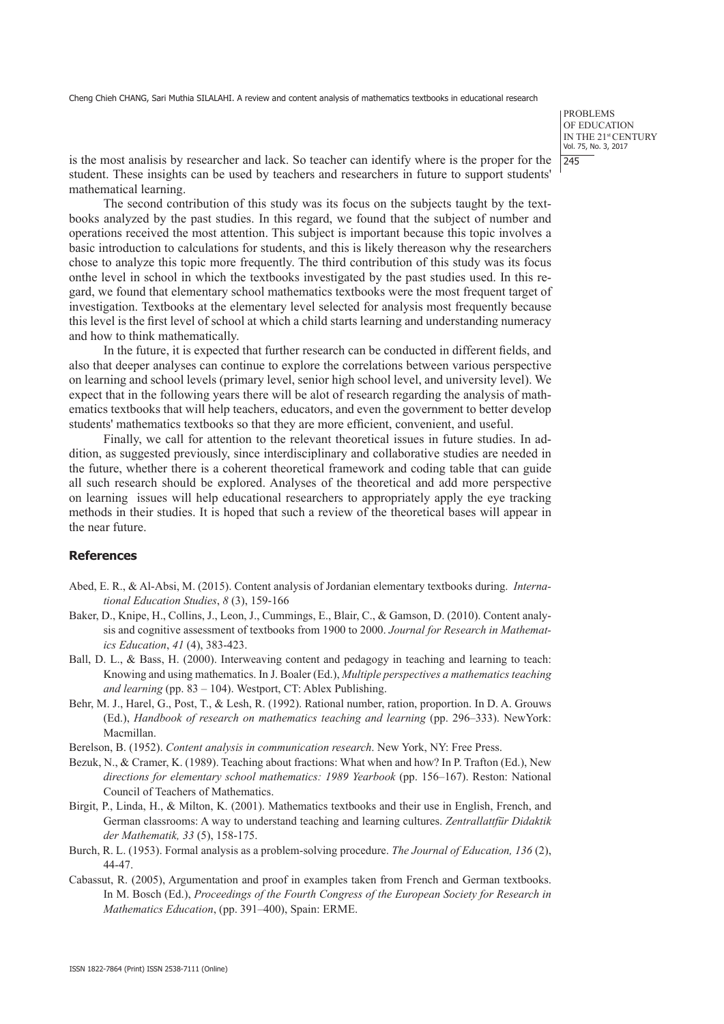PROBLEMS OF EDUCATION IN THE 21st CENTURY Vol. 75, No. 3, 2017 245

is the most analisis by researcher and lack. So teacher can identify where is the proper for the student. These insights can be used by teachers and researchers in future to support students' mathematical learning.

The second contribution of this study was its focus on the subjects taught by the textbooks analyzed by the past studies. In this regard, we found that the subject of number and operations received the most attention. This subject is important because this topic involves a basic introduction to calculations for students, and this is likely thereason why the researchers chose to analyze this topic more frequently. The third contribution of this study was its focus onthe level in school in which the textbooks investigated by the past studies used. In this regard, we found that elementary school mathematics textbooks were the most frequent target of investigation. Textbooks at the elementary level selected for analysis most frequently because this level is the first level of school at which a child starts learning and understanding numeracy and how to think mathematically.

In the future, it is expected that further research can be conducted in different fields, and also that deeper analyses can continue to explore the correlations between various perspective on learning and school levels (primary level, senior high school level, and university level). We expect that in the following years there will be alot of research regarding the analysis of mathematics textbooks that will help teachers, educators, and even the government to better develop students' mathematics textbooks so that they are more efficient, convenient, and useful.

Finally, we call for attention to the relevant theoretical issues in future studies. In addition, as suggested previously, since interdisciplinary and collaborative studies are needed in the future, whether there is a coherent theoretical framework and coding table that can guide all such research should be explored. Analyses of the theoretical and add more perspective on learning issues will help educational researchers to appropriately apply the eye tracking methods in their studies. It is hoped that such a review of the theoretical bases will appear in the near future.

#### **References**

- Abed, E. R., & Al-Absi, M. (2015). Content analysis of Jordanian elementary textbooks during. *International Education Studies*, *8* (3), 159-166
- Baker, D., Knipe, H., Collins, J., Leon, J., Cummings, E., Blair, C., & Gamson, D. (2010). Content analysis and cognitive assessment of textbooks from 1900 to 2000. *Journal for Research in Mathematics Education*, *41* (4), 383-423.
- Ball, D. L., & Bass, H. (2000). Interweaving content and pedagogy in teaching and learning to teach: Knowing and using mathematics. In J. Boaler (Ed.), *Multiple perspectives a mathematics teaching and learning* (pp. 83 – 104). Westport, CT: Ablex Publishing.
- Behr, M. J., Harel, G., Post, T., & Lesh, R. (1992). Rational number, ration, proportion. In D. A. Grouws (Ed.), *Handbook of research on mathematics teaching and learning* (pp. 296–333). NewYork: Macmillan.
- Berelson, B. (1952). *Content analysis in communication research*. New York, NY: Free Press.
- Bezuk, N., & Cramer, K. (1989). Teaching about fractions: What when and how? In P. Trafton (Ed.), New *directions for elementary school mathematics: 1989 Yearbook* (pp. 156–167). Reston: National Council of Teachers of Mathematics.
- Birgit, P., Linda, H., & Milton, K. (2001). Mathematics textbooks and their use in English, French, and German classrooms: A way to understand teaching and learning cultures. *Zentrallattfür Didaktik der Mathematik, 33* (5), 158-175.
- Burch, R. L. (1953). Formal analysis as a problem-solving procedure. *The Journal of Education, 136* (2), 44-47.
- Cabassut, R. (2005), Argumentation and proof in examples taken from French and German textbooks. In M. Bosch (Ed.), *Proceedings of the Fourth Congress of the European Society for Research in Mathematics Education*, (pp. 391–400), Spain: ERME.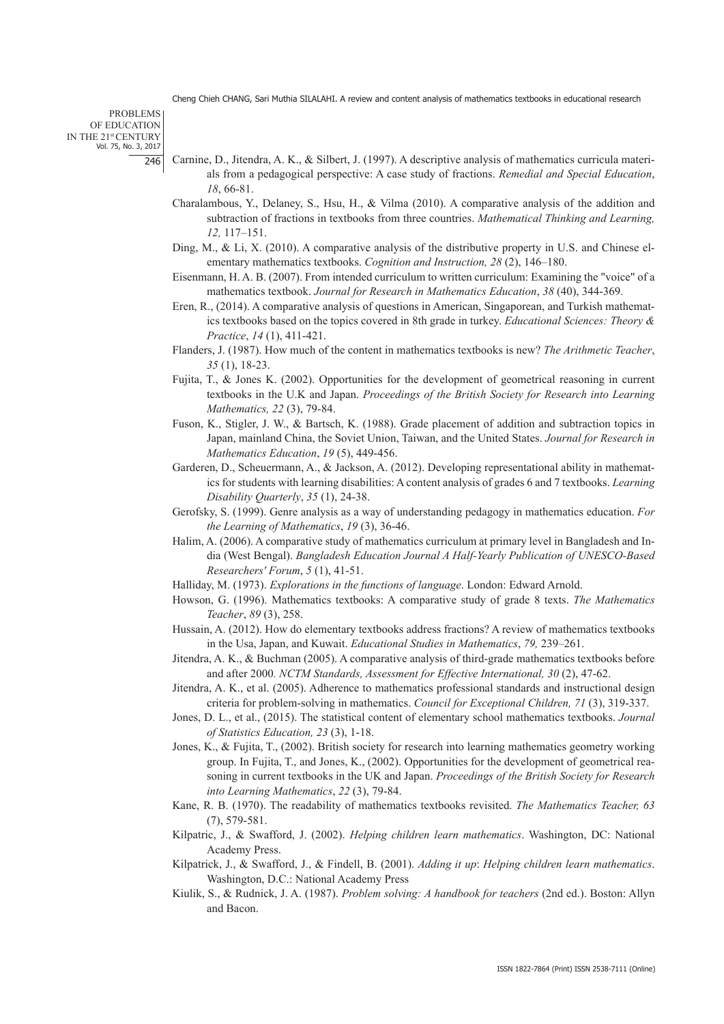PROBLEMS OF EDUCATION IN THE 21st CENTURY Vol. 75, No. 3, 2017 246

- Carnine, D., Jitendra, A. K., & Silbert, J. (1997). A descriptive analysis of mathematics curricula materials from a pedagogical perspective: A case study of fractions. *Remedial and Special Education*, *18*, 66-81.
- Charalambous, Y., Delaney, S., Hsu, H., & Vilma (2010). A comparative analysis of the addition and subtraction of fractions in textbooks from three countries. *Mathematical Thinking and Learning, 12,* 117–151.
- Ding, M., & Li, X. (2010). A comparative analysis of the distributive property in U.S. and Chinese elementary mathematics textbooks. *Cognition and Instruction, 28* (2), 146–180.
- Eisenmann, H. A. B. (2007). From intended curriculum to written curriculum: Examining the "voice" of a mathematics textbook. *Journal for Research in Mathematics Education*, *38* (40), 344-369.
- Eren, R., (2014). A comparative analysis of questions in American, Singaporean, and Turkish mathematics textbooks based on the topics covered in 8th grade in turkey. *Educational Sciences: Theory & Practice*, *14* (1), 411-421.
- Flanders, J. (1987). How much of the content in mathematics textbooks is new? *The Arithmetic Teacher*, *35* (1), 18-23.
- Fujita, T., & Jones K. (2002). Opportunities for the development of geometrical reasoning in current textbooks in the U.K and Japan. *Proceedings of the British Society for Research into Learning Mathematics, 22* (3), 79-84.
- Fuson, K., Stigler, J. W., & Bartsch, K. (1988). Grade placement of addition and subtraction topics in Japan, mainland China, the Soviet Union, Taiwan, and the United States. *Journal for Research in Mathematics Education*, *19* (5), 449-456.
- Garderen, D., Scheuermann, A., & Jackson, A. (2012). Developing representational ability in mathematics for students with learning disabilities: A content analysis of grades 6 and 7 textbooks. *Learning Disability Quarterly*, *35* (1), 24-38.
- Gerofsky, S. (1999). Genre analysis as a way of understanding pedagogy in mathematics education. *For the Learning of Mathematics*, *19* (3), 36-46.
- Halim, A. (2006). A comparative study of mathematics curriculum at primary level in Bangladesh and India (West Bengal). *Bangladesh Education Journal A Half-Yearly Publication of UNESCO-Based Researchers' Forum*, *5* (1), 41-51.
- Halliday, M. (1973). *Explorations in the functions of language*. London: Edward Arnold.
- Howson, G. (1996). Mathematics textbooks: A comparative study of grade 8 texts. *The Mathematics Teacher*, *89* (3), 258.
- Hussain, A. (2012). How do elementary textbooks address fractions? A review of mathematics textbooks in the Usa, Japan, and Kuwait. *Educational Studies in Mathematics*, *79,* 239–261.
- Jitendra, A. K., & Buchman (2005). A comparative analysis of third-grade mathematics textbooks before and after 2000*. NCTM Standards, Assessment for Effective International, 30* (2), 47-62.
- Jitendra, A. K., et al. (2005). Adherence to mathematics professional standards and instructional design criteria for problem-solving in mathematics. *Council for Exceptional Children, 71* (3), 319-337.
- Jones, D. L., et al., (2015). The statistical content of elementary school mathematics textbooks. *Journal of Statistics Education, 23* (3), 1-18.
- Jones, K., & Fujita, T., (2002). British society for research into learning mathematics geometry working group. In Fujita, T., and Jones, K., (2002). Opportunities for the development of geometrical reasoning in current textbooks in the UK and Japan. *Proceedings of the British Society for Research into Learning Mathematics*, *22* (3), 79-84.
- Kane, R. B. (1970). The readability of mathematics textbooks revisited. *The Mathematics Teacher, 63*  (7), 579-581.
- Kilpatric, J., & Swafford, J. (2002). *Helping children learn mathematics*. Washington, DC: National Academy Press.
- Kilpatrick, J., & Swafford, J., & Findell, B. (2001). *Adding it up*: *Helping children learn mathematics*. Washington, D.C.: National Academy Press
- Kiulik, S., & Rudnick, J. A. (1987). *Problem solving: A handbook for teachers* (2nd ed.). Boston: Allyn and Bacon.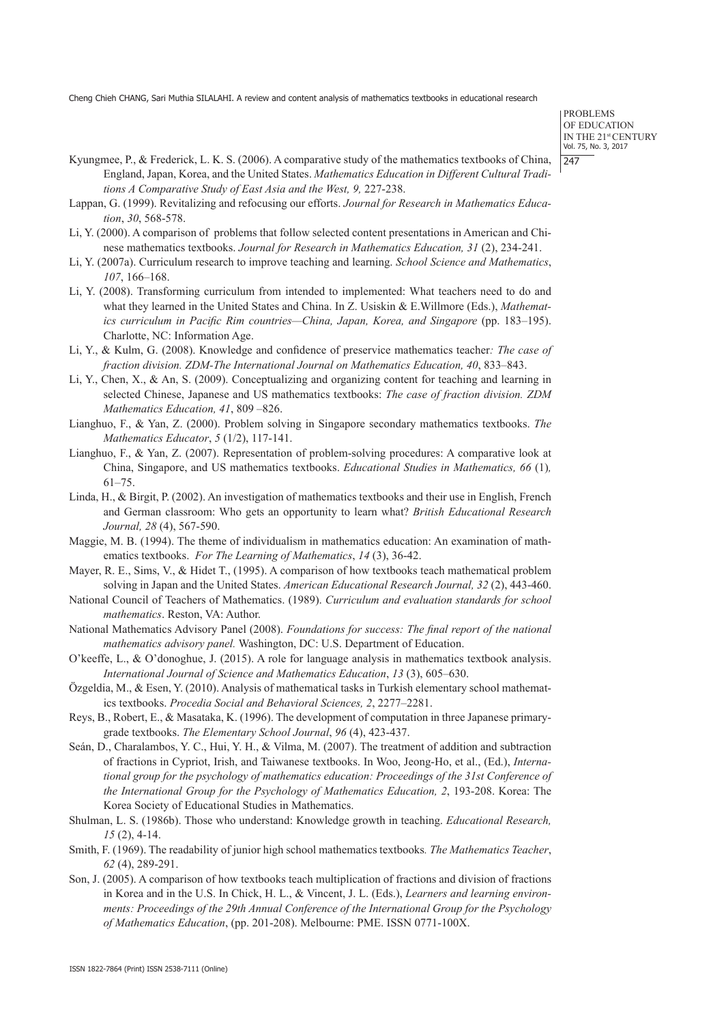PROBLEMS OF EDUCATION IN THE 21st CENTURY Vol. 75, No. 3, 2017 247

- Kyungmee, P., & Frederick, L. K. S. (2006). A comparative study of the mathematics textbooks of China, England, Japan, Korea, and the United States. *Mathematics Education in Different Cultural Traditions A Comparative Study of East Asia and the West, 9,* 227-238.
- Lappan, G. (1999). Revitalizing and refocusing our efforts. *Journal for Research in Mathematics Education*, *30*, 568-578.
- Li, Y. (2000). A comparison of problems that follow selected content presentations in American and Chinese mathematics textbooks. *Journal for Research in Mathematics Education, 31* (2), 234-241.
- Li, Y. (2007a). Curriculum research to improve teaching and learning. *School Science and Mathematics*, *107*, 166–168.
- Li, Y. (2008). Transforming curriculum from intended to implemented: What teachers need to do and what they learned in the United States and China. In Z. Usiskin & E.Willmore (Eds.), *Mathematics curriculum in Pacific Rim countries—China, Japan, Korea, and Singapore* (pp. 183–195). Charlotte, NC: Information Age.
- Li, Y., & Kulm, G. (2008). Knowledge and confidence of preservice mathematics teacher*: The case of fraction division. ZDM-The International Journal on Mathematics Education, 40*, 833–843.
- Li, Y., Chen, X., & An, S. (2009). Conceptualizing and organizing content for teaching and learning in selected Chinese, Japanese and US mathematics textbooks: *The case of fraction division. ZDM Mathematics Education, 41*, 809 –826.
- Lianghuo, F., & Yan, Z. (2000). Problem solving in Singapore secondary mathematics textbooks. *The Mathematics Educator*, *5* (1/2), 117-141.
- Lianghuo, F., & Yan, Z. (2007). Representation of problem-solving procedures: A comparative look at China, Singapore, and US mathematics textbooks. *Educational Studies in Mathematics, 66* (1)*,*  61–75.
- Linda, H., & Birgit, P. (2002). An investigation of mathematics textbooks and their use in English, French and German classroom: Who gets an opportunity to learn what? *British Educational Research Journal, 28* (4), 567-590.
- Maggie, M. B. (1994). The theme of individualism in mathematics education: An examination of mathematics textbooks. *For The Learning of Mathematics*, *14* (3), 36-42.
- Mayer, R. E., Sims, V., & Hidet T., (1995). A comparison of how textbooks teach mathematical problem solving in Japan and the United States. *American Educational Research Journal, 32* (2), 443-460.
- National Council of Teachers of Mathematics. (1989). *Curriculum and evaluation standards for school mathematics*. Reston, VA: Author.
- National Mathematics Advisory Panel (2008). *Foundations for success: The final report of the national mathematics advisory panel.* Washington, DC: U.S. Department of Education.
- O'keeffe, L., & O'donoghue, J. (2015). A role for language analysis in mathematics textbook analysis. *International Journal of Science and Mathematics Education*, *13* (3), 605–630.
- Özgeldia, M., & Esen, Y. (2010). Analysis of mathematical tasks in Turkish elementary school mathematics textbooks. *Procedia Social and Behavioral Sciences, 2*, 2277–2281.
- Reys, B., Robert, E., & Masataka, K. (1996). The development of computation in three Japanese primarygrade textbooks. *The Elementary School Journal*, *96* (4), 423-437.
- Seán, D., Charalambos, Y. C., Hui, Y. H., & Vilma, M. (2007). The treatment of addition and subtraction of fractions in Cypriot, Irish, and Taiwanese textbooks. In Woo, Jeong-Ho, et al., (Ed.), *International group for the psychology of mathematics education: Proceedings of the 31st Conference of the International Group for the Psychology of Mathematics Education, 2*, 193-208. Korea: The Korea Society of Educational Studies in Mathematics.
- Shulman, L. S. (1986b). Those who understand: Knowledge growth in teaching. *Educational Research, 15* (2), 4-14.
- Smith, F. (1969). The readability of junior high school mathematics textbooks*. The Mathematics Teacher*, *62* (4), 289-291.
- Son, J. (2005). A comparison of how textbooks teach multiplication of fractions and division of fractions in Korea and in the U.S. In Chick, H. L., & Vincent, J. L. (Eds.), *Learners and learning environments: Proceedings of the 29th Annual Conference of the International Group for the Psychology of Mathematics Education*, (pp. 201-208). Melbourne: PME. ISSN 0771-100X.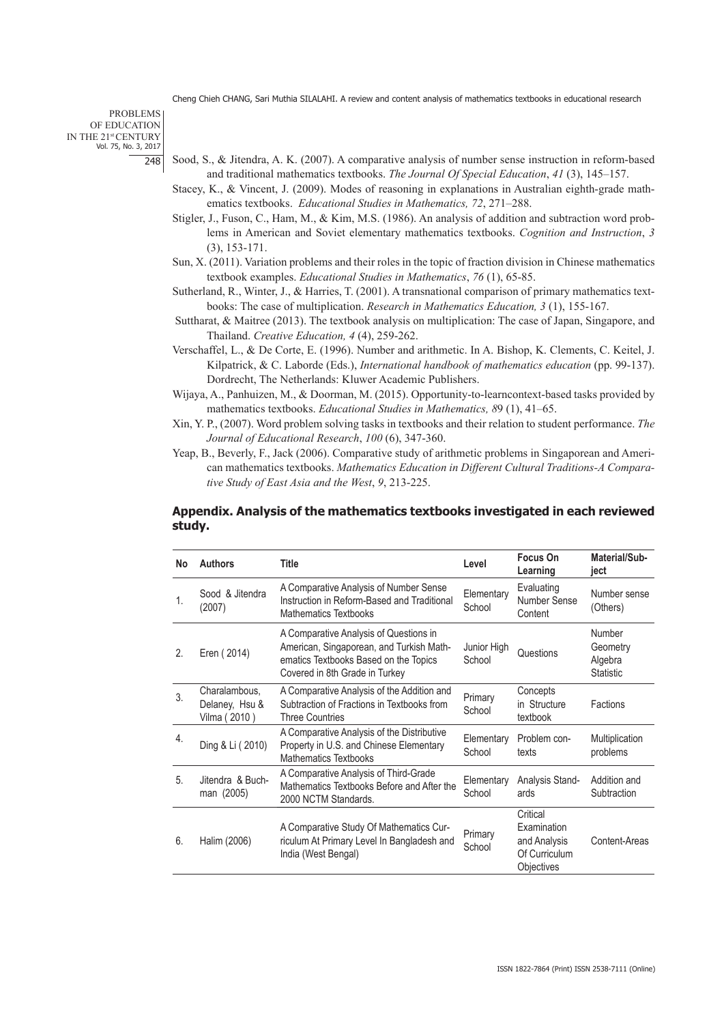PROBLEMS OF EDUCATION IN THE 21st CENTURY Vol. 75, No. 3, 2017 248

- Sood, S., & Jitendra, A. K. (2007). A comparative analysis of number sense instruction in reform-based and traditional mathematics textbooks. *The Journal Of Special Education*, *41* (3), 145–157.
- Stacey, K., & Vincent, J. (2009). Modes of reasoning in explanations in Australian eighth-grade mathematics textbooks. *Educational Studies in Mathematics, 72*, 271–288.
- Stigler, J., Fuson, C., Ham, M., & Kim, M.S. (1986). An analysis of addition and subtraction word problems in American and Soviet elementary mathematics textbooks. *Cognition and Instruction*, *3*  (3), 153-171.
- Sun, X. (2011). Variation problems and their roles in the topic of fraction division in Chinese mathematics textbook examples. *Educational Studies in Mathematics*, *76* (1), 65-85.
- Sutherland, R., Winter, J., & Harries, T. (2001). A transnational comparison of primary mathematics textbooks: The case of multiplication. *Research in Mathematics Education, 3* (1), 155-167.
- Suttharat, & Maitree (2013). The textbook analysis on multiplication: The case of Japan, Singapore, and Thailand. *Creative Education, 4* (4), 259-262.
- Verschaffel, L., & De Corte, E. (1996). Number and arithmetic. In A. Bishop, K. Clements, C. Keitel, J. Kilpatrick, & C. Laborde (Eds.), *International handbook of mathematics education* (pp. 99-137). Dordrecht, The Netherlands: Kluwer Academic Publishers.
- Wijaya, A., Panhuizen, M., & Doorman, M. (2015). Opportunity-to-learncontext-based tasks provided by mathematics textbooks. *Educational Studies in Mathematics, 8*9 (1), 41–65.
- Xin, Y. P., (2007). Word problem solving tasks in textbooks and their relation to student performance. *The Journal of Educational Research*, *100* (6), 347-360.
- Yeap, B., Beverly, F., Jack (2006). Comparative study of arithmetic problems in Singaporean and American mathematics textbooks. *Mathematics Education in Different Cultural Traditions-A Comparative Study of East Asia and the West*, *9*, 213-225.

## **Appendix. Analysis of the mathematics textbooks investigated in each reviewed study.**

| No | <b>Authors</b>                                  | Title                                                                                                                                                         | Level                 | Focus On<br>Learning                                                   | Material/Sub-<br>iect                             |
|----|-------------------------------------------------|---------------------------------------------------------------------------------------------------------------------------------------------------------------|-----------------------|------------------------------------------------------------------------|---------------------------------------------------|
| 1. | Sood & Jitendra<br>(2007)                       | A Comparative Analysis of Number Sense<br>Instruction in Reform-Based and Traditional<br><b>Mathematics Textbooks</b>                                         | Elementary<br>School  | Evaluating<br>Number Sense<br>Content                                  | Number sense<br>(Others)                          |
| 2. | Eren (2014)                                     | A Comparative Analysis of Questions in<br>American, Singaporean, and Turkish Math-<br>ematics Textbooks Based on the Topics<br>Covered in 8th Grade in Turkey | Junior High<br>School | Questions                                                              | Number<br>Geometry<br>Algebra<br><b>Statistic</b> |
| 3. | Charalambous,<br>Delaney, Hsu &<br>Vilma (2010) | A Comparative Analysis of the Addition and<br>Subtraction of Fractions in Textbooks from<br><b>Three Countries</b>                                            | Primary<br>School     | Concepts<br>in Structure<br>textbook                                   | <b>Factions</b>                                   |
| 4. | Ding & Li (2010)                                | A Comparative Analysis of the Distributive<br>Property in U.S. and Chinese Elementary<br><b>Mathematics Textbooks</b>                                         | Elementary<br>School  | Problem con-<br>texts                                                  | Multiplication<br>problems                        |
| 5. | Jitendra & Buch-<br>man (2005)                  | A Comparative Analysis of Third-Grade<br>Mathematics Textbooks Before and After the<br>2000 NCTM Standards.                                                   | Elementary<br>School  | Analysis Stand-<br>ards                                                | Addition and<br>Subtraction                       |
| 6. | Halim (2006)                                    | A Comparative Study Of Mathematics Cur-<br>riculum At Primary Level In Bangladesh and<br>India (West Bengal)                                                  | Primary<br>School     | Critical<br>Examination<br>and Analysis<br>Of Curriculum<br>Objectives | Content-Areas                                     |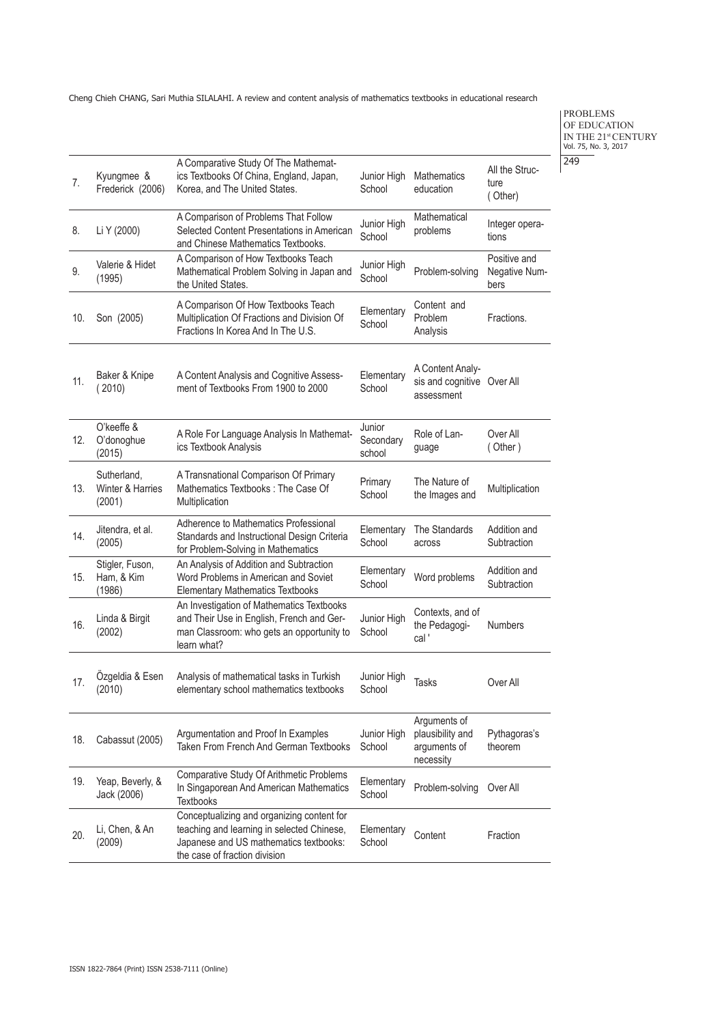PROBLEMS OF EDUCATION IN THE 21<sup>st</sup> CENTURY<br>Vol. 75, No. 3, 2017 249

| 7.  | Kyungmee &<br>Frederick (2006)            | A Comparative Study Of The Mathemat-<br>ics Textbooks Of China, England, Japan,<br>Korea, and The United States.                                                    | Junior High<br>School         | <b>Mathematics</b><br>education                               | All the Struc-<br>ture<br>(Other)     |
|-----|-------------------------------------------|---------------------------------------------------------------------------------------------------------------------------------------------------------------------|-------------------------------|---------------------------------------------------------------|---------------------------------------|
| 8.  | Li Y (2000)                               | A Comparison of Problems That Follow<br>Selected Content Presentations in American<br>and Chinese Mathematics Textbooks.                                            | Junior High<br>School         | Mathematical<br>problems                                      | Integer opera-<br>tions               |
| 9.  | Valerie & Hidet<br>(1995)                 | A Comparison of How Textbooks Teach<br>Mathematical Problem Solving in Japan and<br>the United States.                                                              | Junior High<br>School         | Problem-solving                                               | Positive and<br>Negative Num-<br>bers |
| 10. | Son (2005)                                | A Comparison Of How Textbooks Teach<br>Multiplication Of Fractions and Division Of<br>Fractions In Korea And In The U.S.                                            | Elementary<br>School          | Content and<br>Problem<br>Analysis                            | Fractions.                            |
| 11. | Baker & Knipe<br>(2010)                   | A Content Analysis and Cognitive Assess-<br>ment of Textbooks From 1900 to 2000                                                                                     | Elementary<br>School          | A Content Analy-<br>sis and cognitive Over All<br>assessment  |                                       |
| 12. | O'keeffe &<br>O'donoghue<br>(2015)        | A Role For Language Analysis In Mathemat-<br>ics Textbook Analysis                                                                                                  | Junior<br>Secondary<br>school | Role of Lan-<br>guage                                         | Over All<br>(Other)                   |
| 13. | Sutherland,<br>Winter & Harries<br>(2001) | A Transnational Comparison Of Primary<br>Mathematics Textbooks: The Case Of<br>Multiplication                                                                       | Primary<br>School             | The Nature of<br>the Images and                               | Multiplication                        |
| 14. | Jitendra, et al.<br>(2005)                | Adherence to Mathematics Professional<br>Standards and Instructional Design Criteria<br>for Problem-Solving in Mathematics                                          | Elementary<br>School          | The Standards<br>across                                       | Addition and<br>Subtraction           |
| 15. | Stigler, Fuson,<br>Ham, & Kim<br>(1986)   | An Analysis of Addition and Subtraction<br>Word Problems in American and Soviet<br><b>Elementary Mathematics Textbooks</b>                                          | Elementary<br>School          | Word problems                                                 | Addition and<br>Subtraction           |
| 16. | Linda & Birgit<br>(2002)                  | An Investigation of Mathematics Textbooks<br>and Their Use in English, French and Ger-<br>man Classroom: who gets an opportunity to<br>learn what?                  | Junior High<br>School         | Contexts, and of<br>the Pedagogi-<br>cal'                     | <b>Numbers</b>                        |
| 17. | Özgeldia & Esen<br>(2010)                 | Analysis of mathematical tasks in Turkish<br>elementary school mathematics textbooks                                                                                | Junior High<br>School         | <b>Tasks</b>                                                  | Over All                              |
| 18. | Cabassut (2005)                           | Argumentation and Proof In Examples<br>Taken From French And German Textbooks                                                                                       | Junior High<br>School         | Arguments of<br>plausibility and<br>arguments of<br>necessity | Pythagoras's<br>theorem               |
| 19. | Yeap, Beverly, &<br>Jack (2006)           | Comparative Study Of Arithmetic Problems<br>In Singaporean And American Mathematics<br><b>Textbooks</b>                                                             | Elementary<br>School          | Problem-solving                                               | Over All                              |
| 20. | Li, Chen, & An<br>(2009)                  | Conceptualizing and organizing content for<br>teaching and learning in selected Chinese,<br>Japanese and US mathematics textbooks:<br>the case of fraction division | Elementary<br>School          | Content                                                       | Fraction                              |
|     |                                           |                                                                                                                                                                     |                               |                                                               |                                       |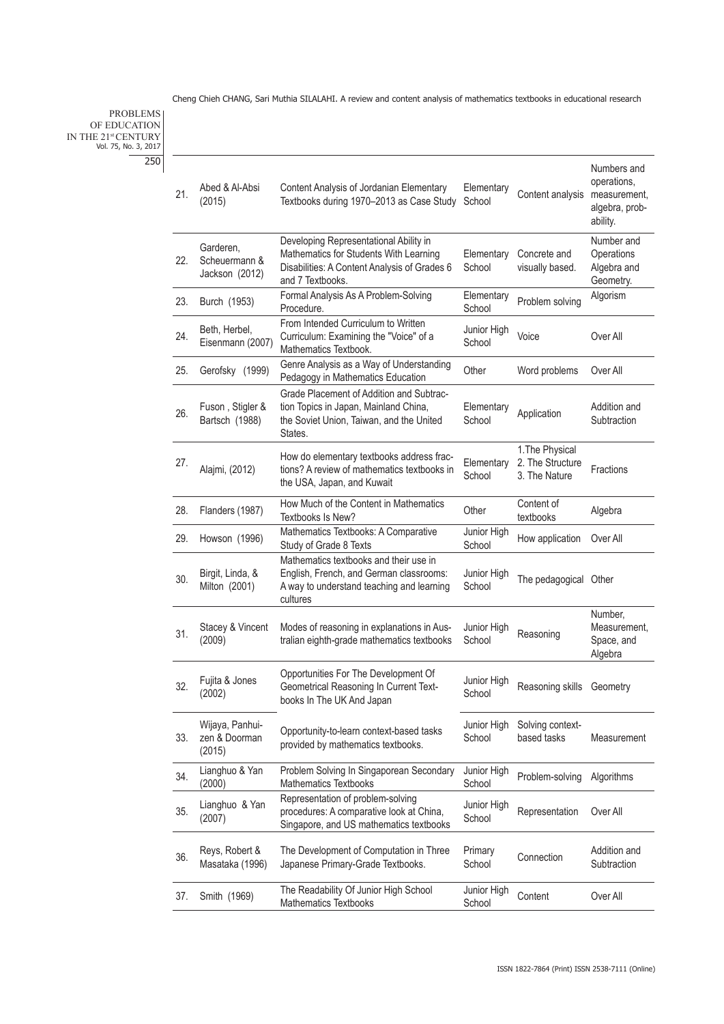PROBLEMS OF EDUCATION IN THE 21<sup>st</sup> CENTURY<br>Vol. 75, No. 3, 2017 250

| 21. | Abed & Al-Absi<br>(2015)                     | Content Analysis of Jordanian Elementary<br>Textbooks during 1970-2013 as Case Study                                                                 | Elementary<br>School  | Content analysis                                     | Numbers and<br>operations,<br>measurement,<br>algebra, prob-<br>ability. |
|-----|----------------------------------------------|------------------------------------------------------------------------------------------------------------------------------------------------------|-----------------------|------------------------------------------------------|--------------------------------------------------------------------------|
| 22. | Garderen,<br>Scheuermann &<br>Jackson (2012) | Developing Representational Ability in<br>Mathematics for Students With Learning<br>Disabilities: A Content Analysis of Grades 6<br>and 7 Textbooks. | Elementary<br>School  | Concrete and<br>visually based.                      | Number and<br>Operations<br>Algebra and<br>Geometry.                     |
| 23. | Burch (1953)                                 | Formal Analysis As A Problem-Solving<br>Procedure.                                                                                                   | Elementary<br>School  | Problem solving                                      | Algorism                                                                 |
| 24. | Beth, Herbel,<br>Eisenmann (2007)            | From Intended Curriculum to Written<br>Curriculum: Examining the "Voice" of a<br>Mathematics Textbook.                                               | Junior High<br>School | Voice                                                | Over All                                                                 |
| 25. | Gerofsky (1999)                              | Genre Analysis as a Way of Understanding<br>Pedagogy in Mathematics Education                                                                        | Other                 | Word problems                                        | Over All                                                                 |
| 26. | Fuson, Stigler &<br>Bartsch (1988)           | Grade Placement of Addition and Subtrac-<br>tion Topics in Japan, Mainland China,<br>the Soviet Union, Taiwan, and the United<br>States.             | Elementary<br>School  | Application                                          | Addition and<br>Subtraction                                              |
| 27. | Alajmi, (2012)                               | How do elementary textbooks address frac-<br>tions? A review of mathematics textbooks in<br>the USA, Japan, and Kuwait                               | Elementary<br>School  | 1. The Physical<br>2. The Structure<br>3. The Nature | Fractions                                                                |
| 28. | Flanders (1987)                              | How Much of the Content in Mathematics<br>Textbooks Is New?                                                                                          | Other                 | Content of<br>textbooks                              | Algebra                                                                  |
| 29. | Howson (1996)                                | Mathematics Textbooks: A Comparative<br>Study of Grade 8 Texts                                                                                       | Junior High<br>School | How application                                      | Over All                                                                 |
| 30. | Birgit, Linda, &<br>Milton (2001)            | Mathematics textbooks and their use in<br>English, French, and German classrooms:<br>A way to understand teaching and learning<br>cultures           | Junior High<br>School | The pedagogical Other                                |                                                                          |
| 31. | Stacey & Vincent<br>(2009)                   | Modes of reasoning in explanations in Aus-<br>tralian eighth-grade mathematics textbooks                                                             | Junior High<br>School | Reasoning                                            | Number,<br>Measurement,<br>Space, and<br>Algebra                         |
| 32. | Fujita & Jones<br>(2002)                     | Opportunities For The Development Of<br>Geometrical Reasoning In Current Text-<br>books In The UK And Japan                                          | Junior High<br>School | Reasoning skills                                     | Geometry                                                                 |
| 33. | Wijaya, Panhui-<br>zen & Doorman<br>(2015)   | Opportunity-to-learn context-based tasks<br>provided by mathematics textbooks.                                                                       | Junior High<br>School | Solving context-<br>based tasks                      | Measurement                                                              |
| 34. | Lianghuo & Yan<br>(2000)                     | Problem Solving In Singaporean Secondary<br><b>Mathematics Textbooks</b>                                                                             | Junior High<br>School | Problem-solving                                      | Algorithms                                                               |
| 35. | Lianghuo & Yan<br>(2007)                     | Representation of problem-solving<br>procedures: A comparative look at China,<br>Singapore, and US mathematics textbooks                             | Junior High<br>School | Representation                                       | Over All                                                                 |
| 36. | Reys, Robert &<br>Masataka (1996)            | The Development of Computation in Three<br>Japanese Primary-Grade Textbooks.                                                                         | Primary<br>School     | Connection                                           | Addition and<br>Subtraction                                              |
| 37. | Smith (1969)                                 | The Readability Of Junior High School<br><b>Mathematics Textbooks</b>                                                                                | Junior High<br>School | Content                                              | Over All                                                                 |